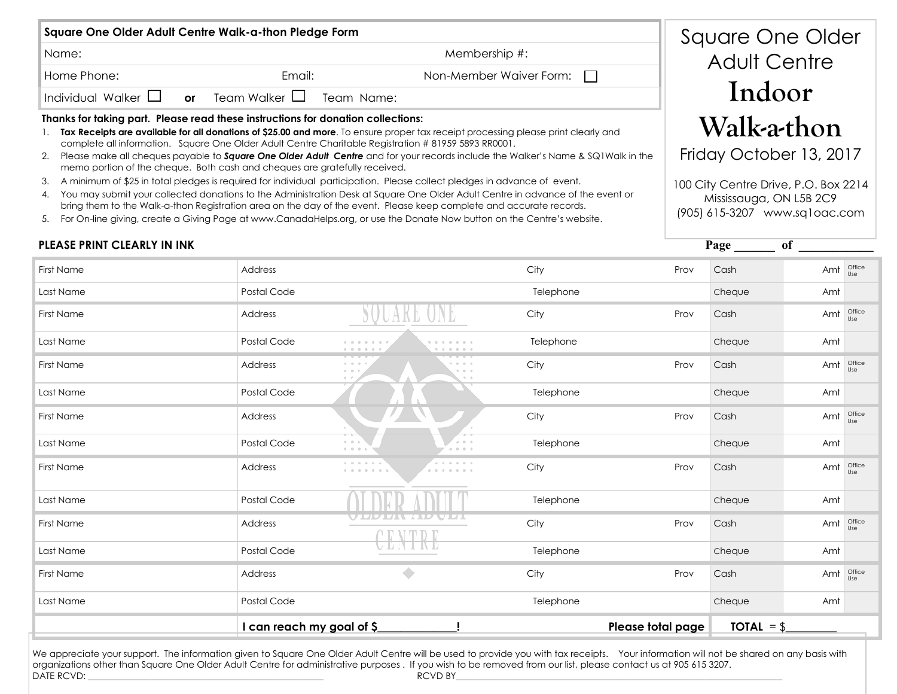| Square One Older Adult Centre Walk-a-thon Pledge Form                            |               |                               |                                |  |  |  |  |  |
|----------------------------------------------------------------------------------|---------------|-------------------------------|--------------------------------|--|--|--|--|--|
| Name:                                                                            | Membership #: |                               |                                |  |  |  |  |  |
| Home Phone:                                                                      |               | Email:                        | Non-Member Waiver Form: $\Box$ |  |  |  |  |  |
| $\P$ Individual Walker $\Box$                                                    | or            | Team Walker $\Box$ Team Name: |                                |  |  |  |  |  |
| Thanks for taking nart. Plogso road those instructions for donation colloctions: |               |                               |                                |  |  |  |  |  |

#### **Thanks for taking part. Please read these instructions for donation collections:**

- 1. **Tax Receipts are available for all donations of \$25.00 and more**. To ensure proper tax receipt processing please print clearly and complete all information. Square One Older Adult Centre Charitable Registration # 81959 5893 RR0001.
- 2. Please make all cheques payable to *Square One Older Adult Centre* and for your records include the Walker's Name & SQ1Walk in the memo portion of the cheque. Both cash and cheques are gratefully received.
- 3. A minimum of \$25 in total pledges is required for individual participation. Please collect pledges in advance of event.
- 4. You may submit your collected donations to the Administration Desk at Square One Older Adult Centre in advance of the event or bring them to the Walk-a-thon Registration area on the day of the event. Please keep complete and accurate records.
- 5. For On-line giving, create a Giving Page at www.CanadaHelps.org, or use the Donate Now button on the Centre's website.

### Square One Older Adult Centre **Indoor Walk-a-thon**

Friday October 13, 2017

100 City Centre Drive, P.O. Box 2214 Mississauga, ON L5B 2C9 (905) 615-3207 www.sq1oac.com

 **Page \_\_\_\_\_\_ of \_\_\_\_\_\_\_\_\_\_\_**

| <b>First Name</b> | Address                                        |                                                      | City      | Prov | Cash   | Amt                          | Office<br>Use |
|-------------------|------------------------------------------------|------------------------------------------------------|-----------|------|--------|------------------------------|---------------|
| Last Name         | Postal Code                                    |                                                      | Telephone |      | Cheque | Amt                          |               |
| First Name        | Address                                        |                                                      | City      | Prov | Cash   | Amt                          | Office<br>Use |
| Last Name         | Postal Code                                    |                                                      | Telephone |      | Cheque | Amt                          |               |
| First Name        | Address                                        | $0 - 0 - 0$<br>0 0 0<br>$0 - 0$<br>1000<br>$0 - r$   | City      | Prov | Cash   | Amt                          | Office<br>Use |
| Last Name         | Postal Code                                    |                                                      | Telephone |      | Cheque | Amt                          |               |
| First Name        | Address                                        |                                                      | City      | Prov | Cash   | Amt                          | Office<br>Use |
| Last Name         | Postal Code                                    | $A = 0 - 0$<br>$0 - 0 - 6$<br>0.0.0.0<br>$0 - 0 - 0$ | Telephone |      | Cheque | Amt                          |               |
| First Name        | Address                                        |                                                      | City      | Prov | Cash   | Amt                          | Office<br>Use |
| Last Name         | Postal Code                                    |                                                      | Telephone |      | Cheque | Amt                          |               |
| First Name        | Address                                        | <b>TIDA ATLI</b><br>V LIV LII                        | City      | Prov | Cash   | Amt                          | Office<br>Use |
| Last Name         | Postal Code                                    |                                                      | Telephone |      | Cheque | Amt                          |               |
| <b>First Name</b> | Address                                        | ۰                                                    | City      | Prov | Cash   | Amt                          | Office<br>Use |
| Last Name         | Postal Code                                    |                                                      | Telephone |      | Cheque | Amt                          |               |
|                   | I can reach my goal of \$<br>Please total page |                                                      |           |      |        | <b>TOTAL</b> = $\frac{6}{2}$ |               |

#### We appreciate your support. The information given to Square One Older Adult Centre will be used to provide you with tax receipts. Your information will not be shared on any basis with organizations other than Square One Older Adult Centre for administrative purposes . If you wish to be removed from our list, please contact us at 905 615 3207. DATE RCVD: \_\_\_\_\_\_\_\_\_\_\_\_\_\_\_\_\_\_\_\_\_\_\_\_\_\_\_\_\_\_\_\_\_\_\_\_\_\_\_\_\_\_\_\_\_\_\_\_\_\_\_\_ RCVD BY\_\_\_\_\_\_\_\_\_\_\_\_\_\_\_\_\_\_\_\_\_\_\_\_\_\_\_\_\_\_\_\_\_\_\_\_\_\_\_\_\_\_\_\_\_\_\_\_\_\_\_\_\_\_\_\_\_\_\_\_\_\_\_\_\_\_\_\_\_\_\_\_

#### **PLEASE PRINT CLEARLY IN INK**